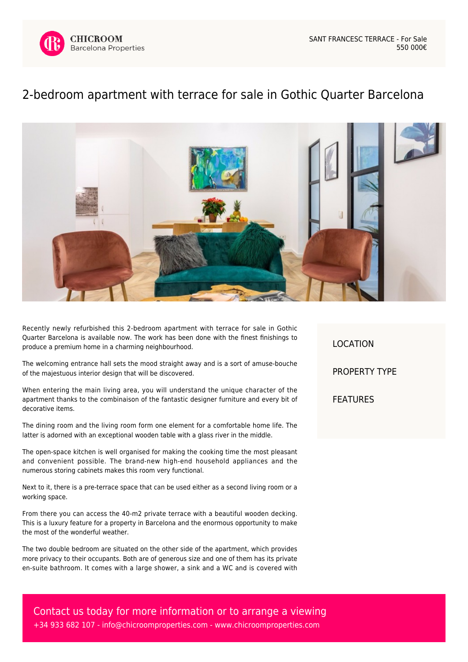

## [2-bedroom apartment with terrace for sale in Gothic Quarter Barcelona](https://www.chicroomproperties.com/en/property/868/2-bedroom-apartment-with-terrace-for-sale-in-gothic-quarter-barcelona/)



Recently newly refurbished this 2-bedroom apartment with terrace for sale in Gothic Quarter Barcelona is available now. The work has been done with the finest finishings to produce a premium home in a charming neighbourhood.

The welcoming entrance hall sets the mood straight away and is a sort of amuse-bouche of the majestuous interior design that will be discovered.

When entering the main living area, you will understand the unique character of the apartment thanks to the combinaison of the fantastic designer furniture and every bit of decorative items.

The dining room and the living room form one element for a comfortable home life. The latter is adorned with an exceptional wooden table with a glass river in the middle.

The open-space kitchen is well organised for making the cooking time the most pleasant and convenient possible. The brand-new high-end household appliances and the numerous storing cabinets makes this room very functional.

Next to it, there is a pre-terrace space that can be used either as a second living room or a working space.

From there you can access the 40-m2 private terrace with a beautiful wooden decking. This is a luxury feature for a property in Barcelona and the enormous opportunity to make the most of the wonderful weather.

The two double bedroom are situated on the other side of the apartment, which provides more privacy to their occupants. Both are of generous size and one of them has its private en-suite bathroom. It comes with a large shower, a sink and a WC and is covered with LOCATION PROPERTY TYPE FEATURES

Contact us today for more information or to arrange a viewing +34 933 682 107 - [info@chicroomproperties.com](mailto:info@chicroomproperties.com) - [www.chicroomproperties.com](http://www.chicroomproperties.com)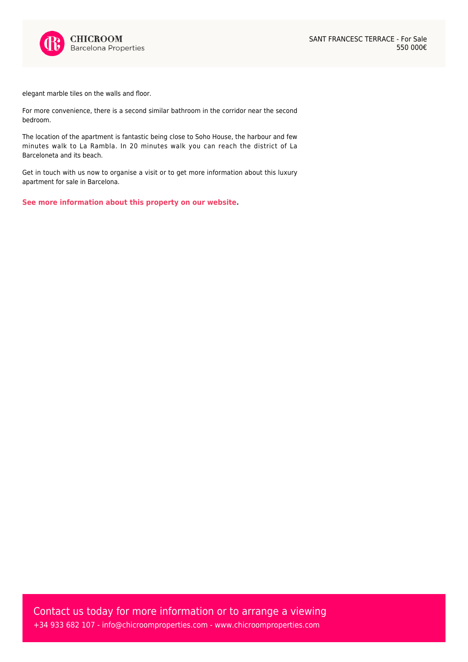

elegant marble tiles on the walls and floor.

For more convenience, there is a second similar bathroom in the corridor near the second bedroom.

The location of the apartment is fantastic being close to Soho House, the harbour and few minutes walk to La Rambla. In 20 minutes walk you can reach the district of La Barceloneta and its beach.

Get in touch with us now to organise a visit or to get more information about this luxury apartment for sale in Barcelona.

**[See more information about this property on our website.](https://www.chicroomproperties.com/en/property/868/2-bedroom-apartment-with-terrace-for-sale-in-gothic-quarter-barcelona/)**